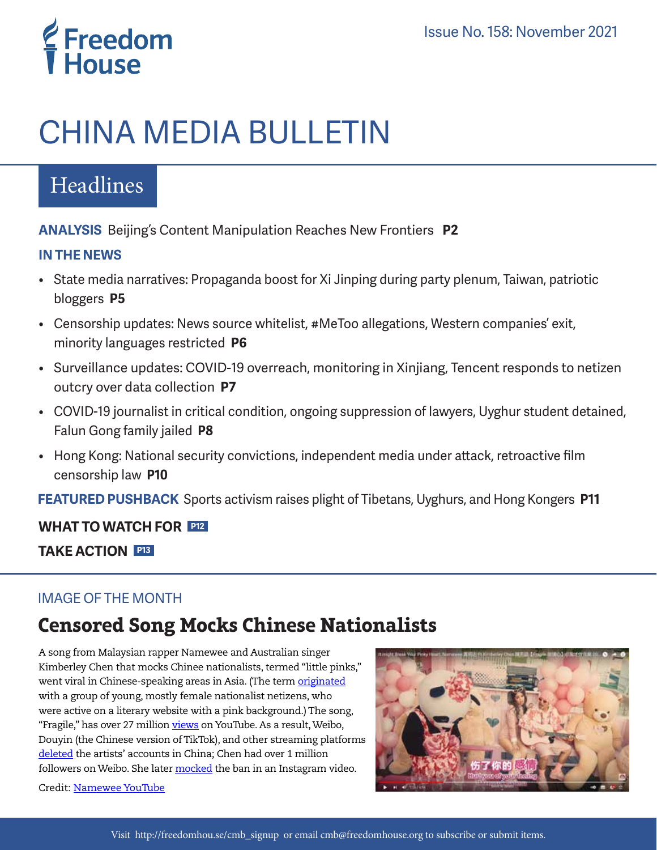# **E** Freedom<br>T House

# CHINA MEDIA BULLETIN

# Headlines

**ANALYSIS** Beijing's Content Manipulation Reaches New Frontiers **P2**

### **IN THE NEWS**

- State media narratives: Propaganda boost for Xi Jinping during party plenum, Taiwan, patriotic bloggers **P5**
- Censorship updates: News source whitelist, #MeToo allegations, Western companies' exit, minority languages restricted **P6**
- Surveillance updates: COVID-19 overreach, monitoring in Xinjiang, Tencent responds to netizen outcry over data collection **P7**
- COVID-19 journalist in critical condition, ongoing suppression of lawyers, Uyghur student detained, Falun Gong family jailed **P8**
- Hong Kong: National security convictions, independent media under attack, retroactive film censorship law **P10**

 **FEATURED PUSHBACK** Sports activism raises plight of Tibetans, Uyghurs, and Hong Kongers **P11**

# **WHAT TO WATCH FOR P12**

**TAKE ACTION P13**

## IMAGE OF THE MONTH

# **Censored Song Mocks Chinese Nationalists**

A song from Malaysian rapper Namewee and Australian singer Kimberley Chen that mocks Chinee nationalists, termed "little pinks," went viral in Chinese-speaking areas in Asia. (The term *[originated](https://www.scmp.com/news/china/society/article/2095458/rise-little-pink-chinas-young-angry-digital-warriors)* with a group of young, mostly female nationalist netizens, who were active on a literary website with a pink background.) The song, "Fragile," has over 27 million *[views](https://www.youtube.com/watch?v=-Rp7UPbhErE)* on YouTube. As a result, Weibo, Douyin (the Chinese version of TikTok), and other streaming platforms [deleted](https://globalvoices.org/2021/10/19/malaysian-bad-boy-rapper-namewee-breaks-the-hearts-of-mainland-chinese-little-pinks/) the artists' accounts in China; Chen had over 1 million followers on Weibo. She later [mocked](https://www.instagram.com/p/CVFyzS1B_RP/?utm_source=ig_web_copy_link) the ban in an Instagram video.

Credit: [Namewee YouTube](https://www.youtube.com/watch?v=-Rp7UPbhErE)

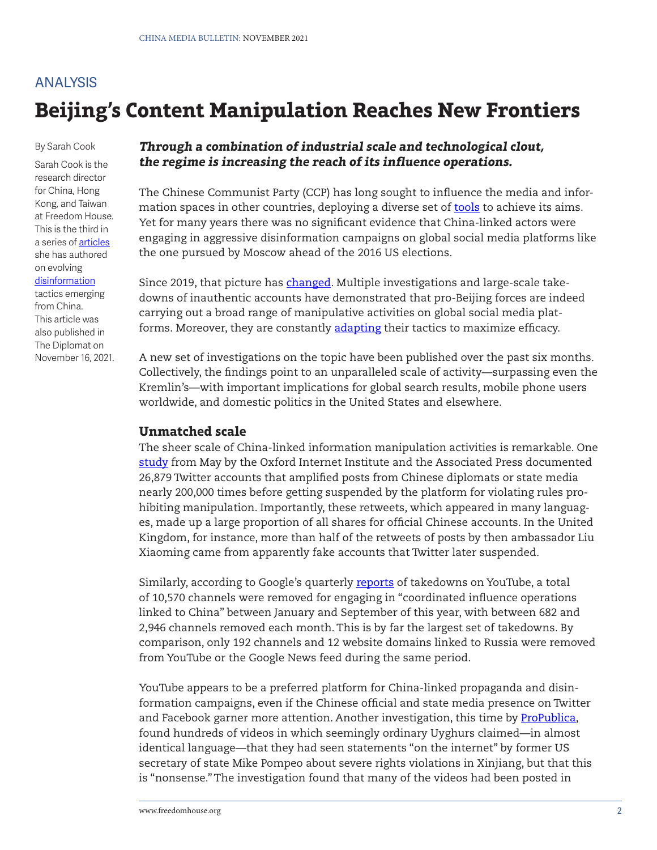# **Beijing's Content Manipulation Reaches New Frontiers** ANALYSIS

By Sarah Cook

Sarah Cook is the research director for China, Hong Kong, and Taiwan at Freedom House. This is the third in a series of [articles](https://thediplomat.com/2020/05/welcome-to-the-new-era-of-chinese-government-disinformation/) she has authored on evolving [disinformation](https://thediplomat.com/2021/03/beijing-is-getting-better-at-disinformation-on-global-social-media/) tactics emerging from China. This article was also published in The Diplomat on November 16, 2021.

#### **Through a combination of industrial scale and technological clout, the regime is increasing the reach of its influence operations.**

The Chinese Communist Party (CCP) has long sought to influence the media and information spaces in other countries, deploying a diverse set of [tools](https://freedomhouse.org/report/special-report/2020/beijings-global-megaphone) to achieve its aims. Yet for many years there was no significant evidence that China-linked actors were engaging in aggressive disinformation campaigns on global social media platforms like the one pursued by Moscow ahead of the 2016 US elections.

Since 2019, that picture has [changed.](https://thediplomat.com/2020/05/welcome-to-the-new-era-of-chinese-government-disinformation/) Multiple investigations and large-scale takedowns of inauthentic accounts have demonstrated that pro-Beijing forces are indeed carrying out a broad range of manipulative activities on global social media platforms. Moreover, they are constantly [adapting](https://thediplomat.com/2021/03/beijing-is-getting-better-at-disinformation-on-global-social-media/) their tactics to maximize efficacy.

A new set of investigations on the topic have been published over the past six months. Collectively, the findings point to an unparalleled scale of activity—surpassing even the Kremlin's—with important implications for global search results, mobile phone users worldwide, and domestic politics in the United States and elsewhere.

#### **Unmatched scale**

The sheer scale of China-linked information manipulation activities is remarkable. One [study](https://apnews.com/article/asia-pacific-china-europe-middle-east-government-and-politics-62b13895aa6665ae4d887dcc8d196dfc) from May by the Oxford Internet Institute and the Associated Press documented 26,879 Twitter accounts that amplified posts from Chinese diplomats or state media nearly 200,000 times before getting suspended by the platform for violating rules prohibiting manipulation. Importantly, these retweets, which appeared in many languages, made up a large proportion of all shares for official Chinese accounts. In the United Kingdom, for instance, more than half of the retweets of posts by then ambassador Liu Xiaoming came from apparently fake accounts that Twitter later suspended.

Similarly, according to Google's quarterly [reports](https://blog.google/threat-analysis-group/tag-bulletin-q1-2021/) of takedowns on YouTube, a total of 10,570 channels were removed for engaging in "coordinated influence operations linked to China" between January and September of this year, with between 682 and 2,946 channels removed each month. This is by far the largest set of takedowns. By comparison, only 192 channels and 12 website domains linked to Russia were removed from YouTube or the Google News feed during the same period.

YouTube appears to be a preferred platform for China-linked propaganda and disinformation campaigns, even if the Chinese official and state media presence on Twitter and Facebook garner more attention. Another investigation, this time by [ProPublica,](https://www.propublica.org/article/how-china-uses-youtube-and-twitter-to-spread-its-propaganda-version-of-life-for-uyghurs-in-xinjiang) found hundreds of videos in which seemingly ordinary Uyghurs claimed—in almost identical language—that they had seen statements "on the internet" by former US secretary of state Mike Pompeo about severe rights violations in Xinjiang, but that this is "nonsense." The investigation found that many of the videos had been posted in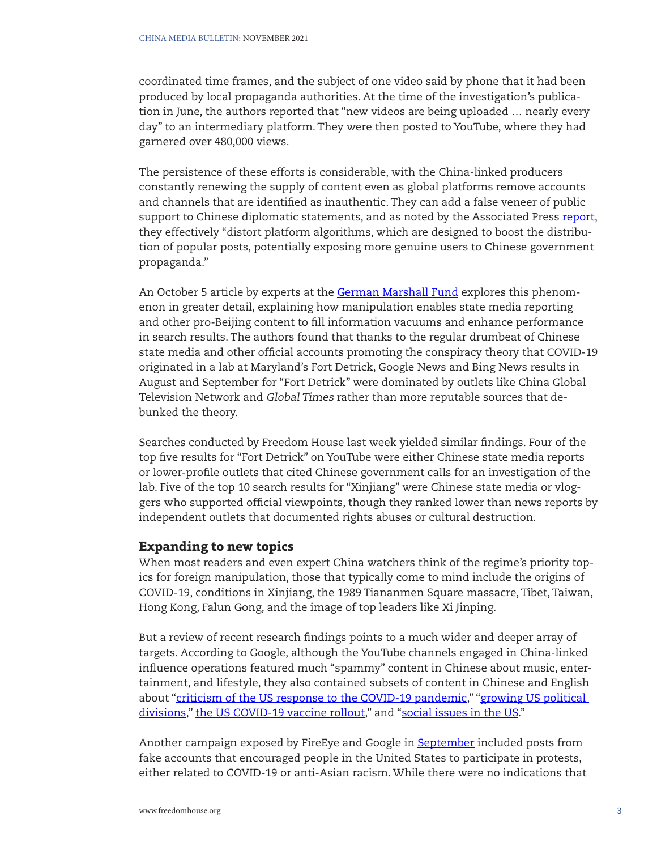coordinated time frames, and the subject of one video said by phone that it had been produced by local propaganda authorities. At the time of the investigation's publication in June, the authors reported that "new videos are being uploaded … nearly every day" to an intermediary platform. They were then posted to YouTube, where they had garnered over 480,000 views.

The persistence of these efforts is considerable, with the China-linked producers constantly renewing the supply of content even as global platforms remove accounts and channels that are identified as inauthentic. They can add a false veneer of public support to Chinese diplomatic statements, and as noted by the Associated Press [report](https://apnews.com/article/asia-pacific-china-europe-middle-east-government-and-politics-62b13895aa6665ae4d887dcc8d196dfc), they effectively "distort platform algorithms, which are designed to boost the distribution of popular posts, potentially exposing more genuine users to Chinese government propaganda."

An October 5 article by experts at the [German Marshall Fund](https://securingdemocracy.gmfus.org/data-void-china-covid-disinformation/) explores this phenomenon in greater detail, explaining how manipulation enables state media reporting and other pro-Beijing content to fill information vacuums and enhance performance in search results. The authors found that thanks to the regular drumbeat of Chinese state media and other official accounts promoting the conspiracy theory that COVID-19 originated in a lab at Maryland's Fort Detrick, Google News and Bing News results in August and September for "Fort Detrick" were dominated by outlets like China Global Television Network and Global Times rather than more reputable sources that debunked the theory.

Searches conducted by Freedom House last week yielded similar findings. Four of the top five results for "Fort Detrick" on YouTube were either Chinese state media reports or lower-profile outlets that cited Chinese government calls for an investigation of the lab. Five of the top 10 search results for "Xinjiang" were Chinese state media or vloggers who supported official viewpoints, though they ranked lower than news reports by independent outlets that documented rights abuses or cultural destruction.

#### **Expanding to new topics**

When most readers and even expert China watchers think of the regime's priority topics for foreign manipulation, those that typically come to mind include the origins of COVID-19, conditions in Xinjiang, the 1989 Tiananmen Square massacre, Tibet, Taiwan, Hong Kong, Falun Gong, and the image of top leaders like Xi Jinping.

But a review of recent research findings points to a much wider and deeper array of targets. According to Google, although the YouTube channels engaged in China-linked influence operations featured much "spammy" content in Chinese about music, entertainment, and lifestyle, they also contained subsets of content in Chinese and English about ["criticism of the US response to the COVID-19 pandemic](https://blog.google/threat-analysis-group/tag-bulletin-q2-2021/)," "growing US political [divisions,](https://blog.google/threat-analysis-group/tag-bulletin-q1-2021/)" [the US COVID-19 vaccine rollout](https://blog.google/threat-analysis-group/tag-bulletin-q1-2021/)," and ["social issues in the US](https://blog.google/threat-analysis-group/tag-bulletin-q3-2021/)."

Another campaign exposed by FireEye and Google in **September** included posts from fake accounts that encouraged people in the United States to participate in protests, either related to COVID-19 or anti-Asian racism. While there were no indications that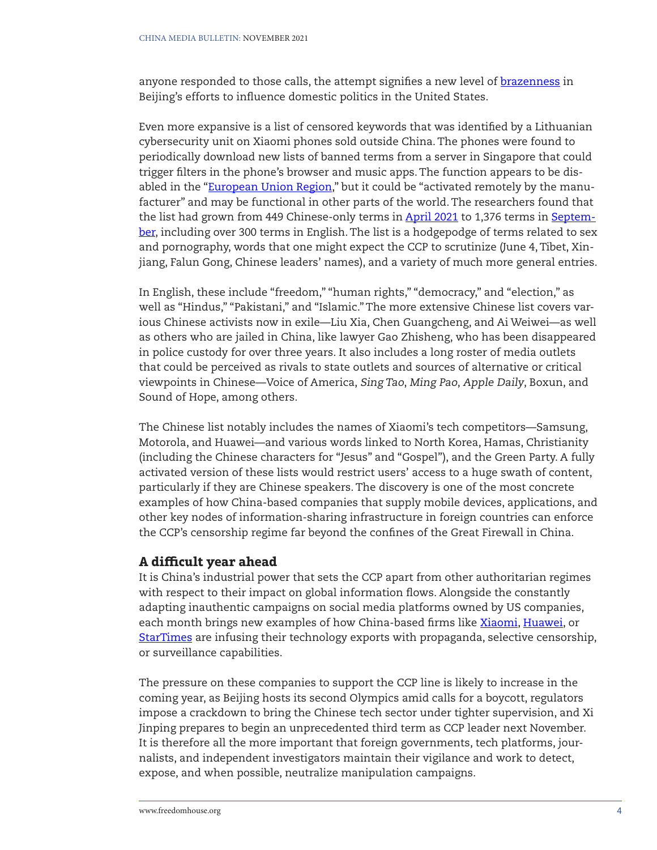anyone responded to those calls, the attempt signifies a new level of [brazenness](https://chinadigitaltimes.net/2021/09/suspected-chinese-state-affiliated-online-influence-campaign-urged-real-world-protests-in-u-s/) in Beijing's efforts to influence domestic politics in the United States.

Even more expansive is a list of censored keywords that was identified by a Lithuanian cybersecurity unit on Xiaomi phones sold outside China. The phones were found to periodically download new lists of banned terms from a server in Singapore that could trigger filters in the phone's browser and music apps. The function appears to be dis-abled in the ["European Union Region,](https://www.nksc.lt/doc/en/analysis/2021-08-23_5G-CN-analysis_env3.pdf)" but it could be "activated remotely by the manufacturer" and may be functional in other parts of the world. The researchers found that the list had grown from 449 Chinese-only terms in [April 2021](https://www.nksc.lt/doc/en/analysis/2021-08-23_5G-CN-analysis_env3.pdf) to 1,376 terms in [Septem](https://www.nksc.lt/doc/en/analysis/2021-09-27_Amendment-EN-full.pdf)[ber,](https://www.nksc.lt/doc/en/analysis/2021-09-27_Amendment-EN-full.pdf) including over 300 terms in English. The list is a hodgepodge of terms related to sex and pornography, words that one might expect the CCP to scrutinize (June 4, Tibet, Xinjiang, Falun Gong, Chinese leaders' names), and a variety of much more general entries.

In English, these include "freedom," "human rights," "democracy," and "election," as well as "Hindus," "Pakistani," and "Islamic." The more extensive Chinese list covers various Chinese activists now in exile—Liu Xia, Chen Guangcheng, and Ai Weiwei—as well as others who are jailed in China, like lawyer Gao Zhisheng, who has been disappeared in police custody for over three years. It also includes a long roster of media outlets that could be perceived as rivals to state outlets and sources of alternative or critical viewpoints in Chinese—Voice of America, Sing Tao, Ming Pao, Apple Daily, Boxun, and Sound of Hope, among others.

The Chinese list notably includes the names of Xiaomi's tech competitors—Samsung, Motorola, and Huawei—and various words linked to North Korea, Hamas, Christianity (including the Chinese characters for "Jesus" and "Gospel"), and the Green Party. A fully activated version of these lists would restrict users' access to a huge swath of content, particularly if they are Chinese speakers. The discovery is one of the most concrete examples of how China-based companies that supply mobile devices, applications, and other key nodes of information-sharing infrastructure in foreign countries can enforce the CCP's censorship regime far beyond the confines of the Great Firewall in China.

#### **A difficult year ahead**

It is China's industrial power that sets the CCP apart from other authoritarian regimes with respect to their impact on global information flows. Alongside the constantly adapting inauthentic campaigns on social media platforms owned by US companies, each month brings new examples of how China-based firms like [Xiaomi,](https://arstechnica.com/information-technology/2021/09/security-audit-raises-severe-warnings-on-chinese-smartphone-models/) [Huawei,](https://www.top10vpn.com/research/huawei-china-surveillance-state/) or [StarTimes](https://chinaafricaproject.com/2021/10/13/chinese-owned-african-pay-tv-giant-startimes-launches-new-propaganda-show/) are infusing their technology exports with propaganda, selective censorship, or surveillance capabilities.

The pressure on these companies to support the CCP line is likely to increase in the coming year, as Beijing hosts its second Olympics amid calls for a boycott, regulators impose a crackdown to bring the Chinese tech sector under tighter supervision, and Xi Jinping prepares to begin an unprecedented third term as CCP leader next November. It is therefore all the more important that foreign governments, tech platforms, journalists, and independent investigators maintain their vigilance and work to detect, expose, and when possible, neutralize manipulation campaigns.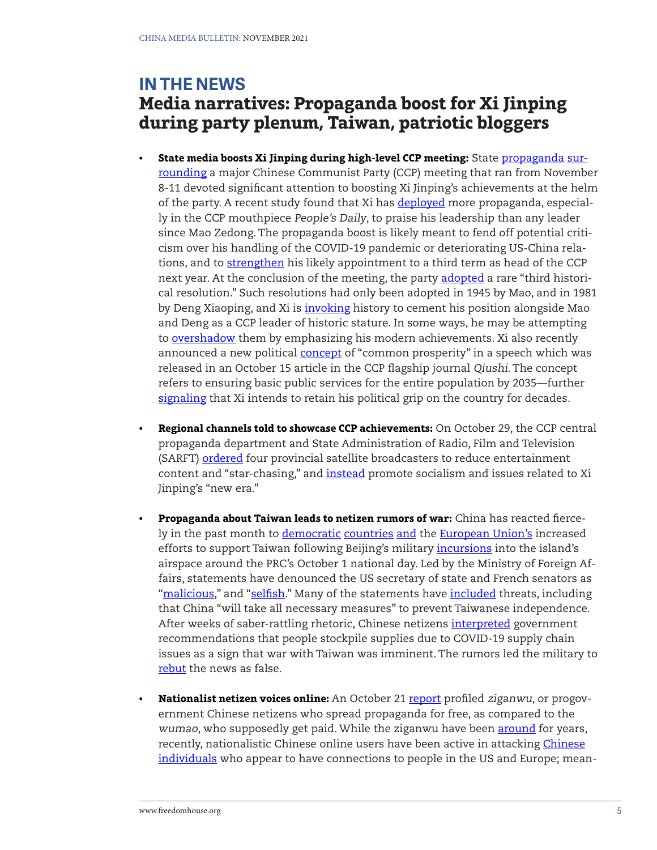## **IN THE NEWS Media narratives: Propaganda boost for Xi Jinping during party plenum, Taiwan, patriotic bloggers**

- **• State media boosts Xi Jinping during high-level CCP meeting:** State [propaganda](http://www.news.cn/politics/leaders/2021-11/06/c_1128036779.htm) [sur](http://paper.people.com.cn/rmrb/html/2021-11/01/nw.D110000renmrb_20211101_4-01.htm)[rounding](http://paper.people.com.cn/rmrb/html/2021-11/01/nw.D110000renmrb_20211101_4-01.htm) a major Chinese Communist Party (CCP) meeting that ran from November 8-11 devoted significant attention to boosting Xi Jinping's achievements at the helm of the party. A recent study found that Xi has [deployed](https://www.tandfonline.com/doi/full/10.1080/10670564.2021.1893555) more propaganda, especially in the CCP mouthpiece People's Daily, to praise his leadership than any leader since Mao Zedong. The propaganda boost is likely meant to fend off potential criticism over his handling of the COVID-19 pandemic or deteriorating US-China relations, and to [strengthen](https://www.nytimes.com/2021/11/07/world/asia/china-xi-jinping.html) his likely appointment to a third term as head of the CCP next year. At the conclusion of the meeting, the party [adopted](http://www.news.cn/english/2021-11/11/c_1310305166.htm) a rare "third historical resolution." Such resolutions had only been adopted in 1945 by Mao, and in 1981 by Deng Xiaoping, and Xi is [invoking](https://www.cnn.com/2021/11/08/china/sixth-plenum-preview-mic-intl-hnk/index.html) history to cement his position alongside Mao and Deng as a CCP leader of historic stature. In some ways, he may be attempting to [overshadow](https://chinamediaproject.org/2021/11/08/deciding-history-sealing-the-future/) them by emphasizing his modern achievements. Xi also recently announced a new political [concept](https://www.neican.org/p/to-firmly-drive-common-prosperity) of "common prosperity" in a speech which was released in an October 15 article in the CCP flagship journal Qiushi. The concept refers to ensuring basic public services for the entire population by 2035—further [signaling](https://asia.nikkei.com/Editor-s-Picks/China-up-close/Analysis-Xi-Jinping-s-plan-to-rule-for-life-is-coming-together) that Xi intends to retain his political grip on the country for decades.
- **• Regional channels told to showcase CCP achievements:** On October 29, the CCP central propaganda department and State Administration of Radio, Film and Television (SARFT) [ordered](https://www.rfa.org/english/news/china/broadcast-10292021115517.html) four provincial satellite broadcasters to reduce entertainment content and "star-chasing," and [instead](http://www.news.cn/politics/2021-10/29/c_1128009277.htm) promote socialism and issues related to Xi Jinping's "new era."
- **• Propaganda about Taiwan leads to netizen rumors of war:** China has reacted fiercely in the past month to [democratic](https://www.reuters.com/business/aerospace-defense/french-senators-visit-taiwan-amid-soaring-china-tensions-2021-10-05/) [countries](https://www.state.gov/supporting-taiwans-participation-in-the-un-system/) [and](https://www.politico.eu/article/joseph-wu-taiwan-brussels-beijing-czech-republic-slovakia-diplomacy/) the [European Union](https://apnews.com/article/europe-china-taiwan-european-union-tsai-ing-wen-7d3646b91187590f4edc34b4b3ea5d10)'s increased efforts to support Taiwan following Beijing's military *incursions* into the island's airspace around the PRC's October 1 national day. Led by the Ministry of Foreign Affairs, statements have denounced the US secretary of state and French senators as ["malicious,](https://www.thepaper.cn/newsDetail_forward_15096080)" and ["selfish.](https://www.fmprc.gov.cn/web/fyrbt_673021/t1913231.shtml)" Many of the statements have [included](https://www.fmprc.gov.cn/web/fyrbt_673021/t1917197.shtml) threats, including that China "will take all necessary measures" to prevent Taiwanese independence. After weeks of saber-rattling rhetoric, Chinese netizens [interpreted](https://www.bloomberg.com/news/articles/2021-11-03/china-moves-to-quash-online-rumors-that-taiwan-war-is-looming) government recommendations that people stockpile supplies due to COVID-19 supply chain issues as a sign that war with Taiwan was imminent. The rumors led the military to [rebut](https://www.bloomberg.com/news/articles/2021-11-03/china-moves-to-quash-online-rumors-that-taiwan-war-is-looming) the news as false.
- **• Nationalist netizen voices online:** An October 21 [report](https://www.bbc.com/news/world-asia-china-58922011) profiled ziganwu, or progovernment Chinese netizens who spread propaganda for free, as compared to the wumao, who supposedly get paid. While the ziganwu have been [around](https://globalvoices.org/2015/06/15/local-chinese-authorities-use-internet-slang-ziganwu-in-their-propaganda-recruitment/) for years, recently, nationalistic [Chinese](https://www.bbc.com/news/world-asia-54987675) online users have been active in attacking *Chinese* [individuals](https://www.cnn.com/2021/04/19/china/china-feminists-silenced-intl-hnk-dst/index.html) who appear to have connections to people in the US and Europe; mean-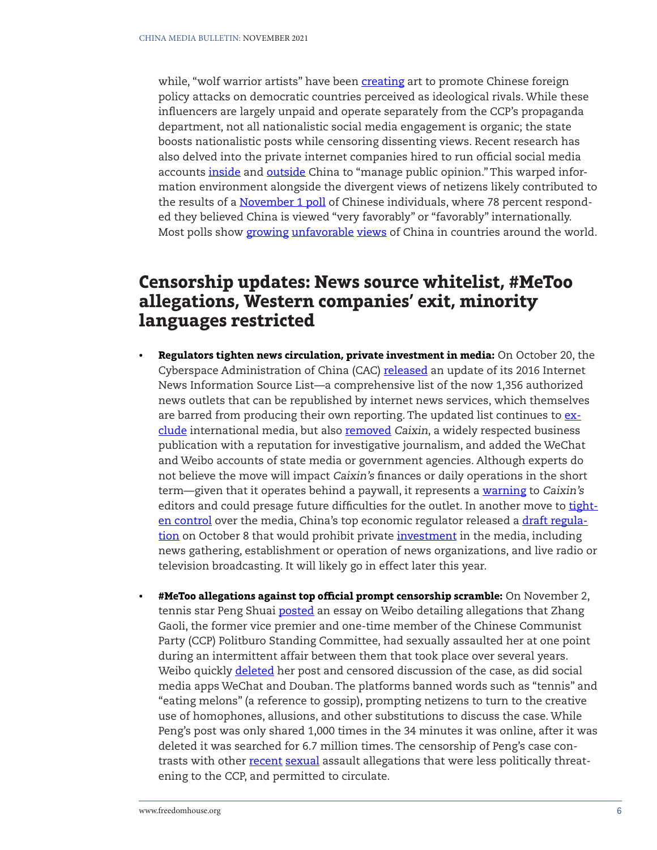while, "wolf warrior artists" have been [creating](https://www.whatsonweibo.com/digital-art-or-visual-propaganda-chinas-new-wave-of-online-political-satire) art to promote Chinese foreign policy attacks on democratic countries perceived as ideological rivals. While these influencers are largely unpaid and operate separately from the CCP's propaganda department, not all nationalistic social media engagement is organic; the state boosts nationalistic posts while censoring dissenting views. Recent research has also delved into the private internet companies hired to run official social media accounts [inside](https://www.chinafile.com/reporting-opinion/features/message-control-china) and [outside](https://chinatalk.substack.com/p/selling-chinas-story-how-the-chinese) China to "manage public opinion." This warped information environment alongside the divergent views of netizens likely contributed to the results of a [November 1 poll](https://uscnpm.org/the-pulse/) of Chinese individuals, where 78 percent responded they believed China is viewed "very favorably" or "favorably" internationally. Most polls show [growing](https://www.pewresearch.org/global/2020/10/06/unfavorable-views-of-china-reach-historic-highs-in-many-countries/) [unfavorable](https://afrobarometer.org/sites/default/files/publications/Dispatches/ad407-chinas_perceived_influence_in_africa_decreases-afrobarometer_dispatch-14nov20.pdf) [views](https://www.pewresearch.org/global/2020/05/12/in-taiwan-views-of-mainland-china-mostly-negative/) of China in countries around the world.

## **Censorship updates: News source whitelist, #MeToo allegations, Western companies' exit, minority languages restricted**

- **• Regulators tighten news circulation, private investment in media:** On October 20, the Cyberspace Administration of China (CAC) [released](https://www.reuters.com/world/china/china-updates-official-news-sources-list-tightening-information-oversight-2021-10-20/) an update of its 2016 Internet News Information Source List—a comprehensive list of the now 1,356 authorized news outlets that can be republished by internet news services, which themselves are barred from producing their own reporting. The updated list continues to  $ex$ [clude](https://chinamediaproject.org/2021/10/21/china-updates-rules-on-reposting-news/) international media, but also [removed](https://www.scmp.com/news/china/politics/article/3153389/chinas-expanded-news-source-list-signals-tighter-media-control) Caixin, a widely respected business publication with a reputation for investigative journalism, and added the WeChat and Weibo accounts of state media or government agencies. Although experts do not believe the move will impact Caixin's finances or daily operations in the short term—given that it operates behind a paywall, it represents a [warning](https://www.ft.com/content/3f6575a5-048c-411d-8103-162d4b27fcbb) to Caixin's editors and could presage future difficulties for the outlet. In another move to [tight](https://cpj.org/2021/10/china-to-ban-private-investment-in-the-nations-news-industry/)[en control](https://cpj.org/2021/10/china-to-ban-private-investment-in-the-nations-news-industry/) over the media, China's top economic regulator released a [draft regula](https://www.ndrc.gov.cn/yjzxDownload/sczrfmqd2021.pdf)[tion](https://www.ndrc.gov.cn/yjzxDownload/sczrfmqd2021.pdf) on October 8 that would prohibit private [investment](https://www.globaltimes.cn/page/202110/1235829.shtml) in the media, including news gathering, establishment or operation of news organizations, and live radio or television broadcasting. It will likely go in effect later this year.
- **• #MeToo allegations against top official prompt censorship scramble:** On November 2, tennis star Peng Shuai [posted](https://www.nytimes.com/2021/11/03/world/asia/china-metoo-peng-shuai-zhang-gaoli.html) an essay on Weibo detailing allegations that Zhang Gaoli, the former vice premier and one-time member of the Chinese Communist Party (CCP) Politburo Standing Committee, had sexually assaulted her at one point during an intermittent affair between them that took place over several years. Weibo quickly **deleted** her post and censored discussion of the case, as did social media apps WeChat and Douban. The platforms banned words such as "tennis" and "eating melons" (a reference to gossip), prompting netizens to turn to the creative use of homophones, allusions, and other substitutions to discuss the case. While Peng's post was only shared 1,000 times in the 34 minutes it was online, after it was deleted it was searched for 6.7 million times. The censorship of Peng's case contrasts with other [recent](https://www.nytimes.com/2021/03/29/business/china-metoo-local-corruption.html) [sexual](https://variety.com/2021/global/news/kris-wu-alibaba-metoo-china-1235043258/) assault allegations that were less politically threatening to the CCP, and permitted to circulate.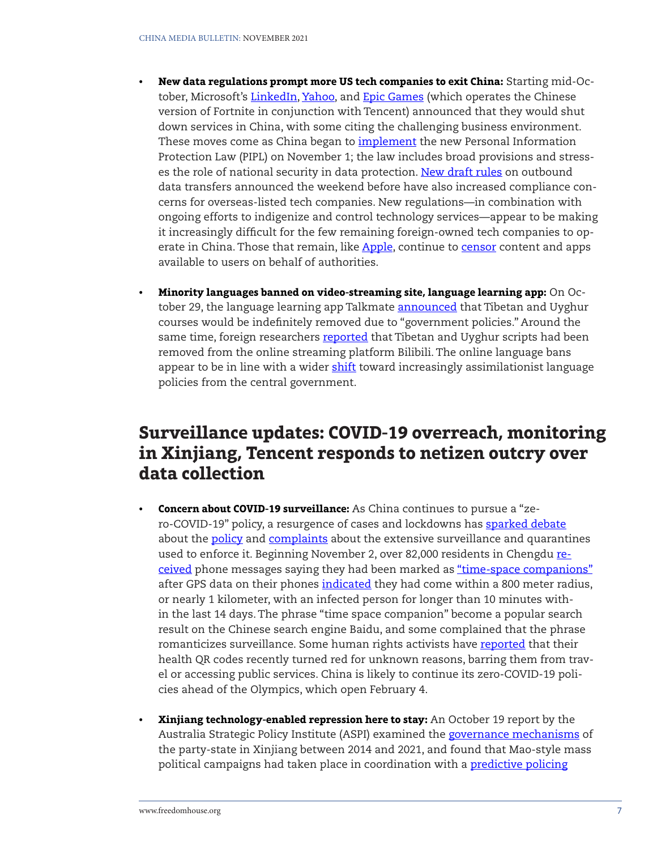- **• New data regulations prompt more US tech companies to exit China:** Starting mid-Oc-tober, Microsoft's [LinkedIn](https://chinamediaproject.org/2021/10/18/china-linkedout/), [Yahoo,](https://www.axios.com/yahoo-shut-down-services-china-68cecdf5-fe79-4e89-93eb-5f10b071dddc.html) and [Epic Games](https://www.nbclosangeles.com/news/business/money-report/fortnite-to-shut-down-in-china-as-beijing-intensifies-video-game-crackdown/2743221/) (which operates the Chinese version of Fortnite in conjunction with Tencent) announced that they would shut down services in China, with some citing the challenging business environment. These moves come as China began to *implement* the new Personal Information Protection Law (PIPL) on November 1; the law includes broad provisions and stress-es the role of national security in data protection. [New draft rules](https://www.caixinglobal.com/2021-10-30/china-tightens-scrutiny-of-outbound-data-transfers-101793688.html) on outbound data transfers announced the weekend before have also increased compliance concerns for overseas-listed tech companies. New regulations—in combination with ongoing efforts to indigenize and control technology services—appear to be making it increasingly difficult for the few remaining foreign-owned tech companies to op-erate in China. Those that remain, like [Apple](https://applecensorship.com/wp-content/uploads/2021/11/AppleCensorships-Censored-on-the-App-Store-Digital-Spreads.pdf), continue to [censor](https://www.bbc.com/news/technology-58921230) content and apps available to users on behalf of authorities.
- **• Minority languages banned on video-streaming site, language learning app:** On October 29, the language learning app Talkmate **[announced](https://chinadigitaltimes.net/2021/11/language-learning-app-emphasizing-linguistic-diversity-deletes-tibetan-and-uyghur-languages/)** that Tibetan and Uyghur courses would be indefinitely removed due to "government policies." Around the same time, foreign researchers [reported](https://twitter.com/Nrg8000/status/1455120347733188615) that Tibetan and Uyghur scripts had been removed from the online streaming platform Bilibili. The online language bans appear to be in line with a wider [shift](https://www.voanews.com/a/china-steps-up-assimilation-of-ethnic-minorities-by-banning-languages-in-schools-/6281558.html) toward increasingly assimilationist language policies from the central government.

# **Surveillance updates: COVID-19 overreach, monitoring in Xinjiang, Tencent responds to netizen outcry over data collection**

- **• Concern about COVID-19 surveillance:** As China continues to pursue a "zero-COVID-19" policy, a resurgence of cases and lockdowns has [sparked](https://news.sina.com.cn/c/2021-10-29/doc-iktzscyy2527705.shtml) [debate](https://www.reuters.com/article/us-health-coronavirus-china-idAFKBN2HI0KB) about the [policy](https://www.npr.org/sections/goatsandsoda/2021/11/05/1052811962/one-chinese-town-has-started-a-fiery-online-debate-about-chinas-zero-covid-polic) and [complaints](https://www.scmp.com/news/china/politics/article/3154625/coronavirus-beijing-residents-get-apology-after-travel-curbs) about the extensive surveillance and quarantines used to enforce it. Beginning November 2, over 82,000 residents in Chengdu [re](https://www.scmp.com/news/china/politics/article/3155068/company-time-and-space-chinas-coronavirus-tracing-meets-big)[ceived](https://www.scmp.com/news/china/politics/article/3155068/company-time-and-space-chinas-coronavirus-tracing-meets-big) phone messages saying they had been marked as ["time-space companions"](https://m.bjnews.com.cn/detail/163611285314455.html) after GPS data on their phones [indicated](https://www.bloomberg.com/news/articles/2021-11-08/people-you-don-t-know-and-can-t-see-are-close-contacts-in-china) they had come within a 800 meter radius, or nearly 1 kilometer, with an infected person for longer than 10 minutes within the last 14 days. The phrase "time space companion" become a popular search result on the Chinese search engine Baidu, and some complained that the phrase romanticizes surveillance. Some human rights activists have [reported](https://www.thestandnews.com/china/%E5%A4%9A%E4%BD%8D%E5%85%A7%E5%9C%B0%E7%B6%AD%E6%AC%8A%E4%BA%BA%E5%A3%AB%E5%81%A5%E5%BA%B7%E7%A2%BC%E7%AA%81%E8%AE%8A%E7%B4%85%E7%A8%8B%E5%BC%8F%E7%95%B0%E5%B8%B8-%E8%A2%AB%E7%A6%81%E8%B5%B4%E5%8C%97%E4%BA%AC%E4%B8%8A%E6%B5%B7) that their health QR codes recently turned red for unknown reasons, barring them from travel or accessing public services. China is likely to continue its zero-COVID-19 policies ahead of the Olympics, which open February 4.
- **• Xinjiang technology-enabled repression here to stay:** An October 19 report by the Australia Strategic Policy Institute (ASPI) examined the [governance mechanisms](https://www.aspi.org.au/report/architecture-repression) of the party-state in Xinjiang between 2014 and 2021, and found that Mao-style mass political campaigns had taken place in coordination with a [predictive policing](https://www.theguardian.com/world/2021/oct/19/china-predictive-policing-surveillance-uyghurs-report)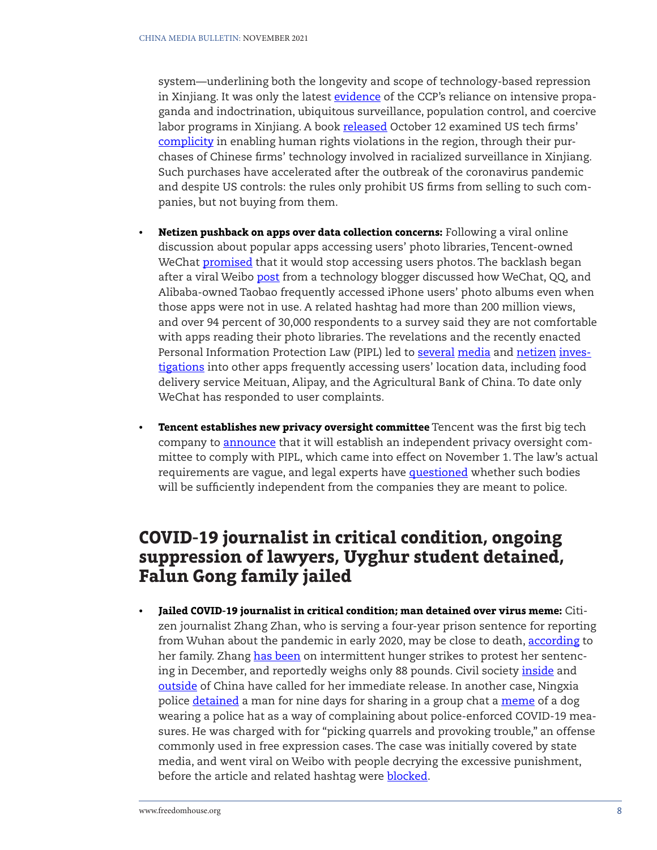system—underlining both the longevity and scope of technology-based repression in Xinjiang. It was only the latest [evidence](https://foreignpolicy.com/2021/11/01/xinjiang-china-uyghur-camps/) of the CCP's reliance on intensive propaganda and indoctrination, ubiquitous surveillance, population control, and coercive labor programs in Xinjiang. A book [released](https://globalreports.columbia.edu/books/in-the-camps/) October 12 examined US tech firms' [complicity](https://www.technologyreview.com/2021/10/11/1036582/darren-byler-xinjiang-china-uyghur-surveillance/) in enabling human rights violations in the region, through their purchases of Chinese firms' technology involved in racialized surveillance in Xinjiang. Such purchases have accelerated after the outbreak of the coronavirus pandemic and despite US controls: the rules only prohibit US firms from selling to such companies, but not buying from them.

- **• Netizen pushback on apps over data collection concerns:** Following a viral online discussion about popular apps accessing users' photo libraries, Tencent-owned WeChat [promised](https://www.protocol.com/china/china-apps-surveillance-wechat) that it would stop accessing users photos. The backlash began after a viral Weibo [post](https://weibo.com/2480678791/KBLLsdRNW) from a technology blogger discussed how WeChat, QQ, and Alibaba-owned Taobao frequently accessed iPhone users' photo albums even when those apps were not in use. A related hashtag had more than 200 million views, and over 94 percent of 30,000 respondents to a survey said they are not comfortable with apps reading their photo libraries. The revelations and the recently enacted Personal Information Protection Law (PIPL) led to [several](https://finance.eastmoney.com/a/202111102176930735.html) [media](http://www.stdaily.com/index/kejixinwen/2021-11/03/content_1229662.shtml) and [netizen](https://chinadigitaltimes.net/chinese/672057.html) [inves](https://m.mp.oeeee.com/a/BAAFRD000020211013612211.html)[tigations](https://m.mp.oeeee.com/a/BAAFRD000020211013612211.html) into other apps frequently accessing users' location data, including food delivery service Meituan, Alipay, and the Agricultural Bank of China. To date only WeChat has responded to user complaints.
- **• Tencent establishes new privacy oversight committee** Tencent was the first big tech company to **announce** that it will establish an independent privacy oversight committee to comply with PIPL, which came into effect on November 1. The law's actual requirements are vague, and legal experts have **questioned** whether such bodies will be sufficiently independent from the companies they are meant to police.

## **COVID-19 journalist in critical condition, ongoing suppression of lawyers, Uyghur student detained, Falun Gong family jailed**

**• Jailed COVID-19 journalist in critical condition; man detained over virus meme:** Citizen journalist Zhang Zhan, who is serving a four-year prison sentence for reporting from Wuhan about the pandemic in early 2020, may be close to death, [according](https://twitter.com/Jeffreychang81/status/1454379245048795140) to her family. Zhang [has been](https://www.nytimes.com/2021/11/09/world/asia/us-release-china-zhang-zhan.html) on intermittent hunger strikes to protest her sentencing in December, and reportedly weighs only 88 pounds. Civil society [inside](https://msguancha.com/a/lanmu2/2021/1102/21402.html) and [outside](https://freedomhouse.org/article/coalition-urges-chinese-president-xi-release-covid-19-reporter-hunger-strike) of China have called for her immediate release. In another case, Ningxia police [detained](https://www.cnn.com/2021/11/02/china/china-man-detained-meme-intl-hnk-scli/index.html) a man for nine days for sharing in a group chat a [meme](https://chinadigitaltimes.net/chinese/672741.html) of a dog wearing a police hat as a way of complaining about police-enforced COVID-19 measures. He was charged with for "picking quarrels and provoking trouble," an offense commonly used in free expression cases. The case was initially covered by state media, and went viral on Weibo with people decrying the excessive punishment, before the article and related hashtag were **blocked**.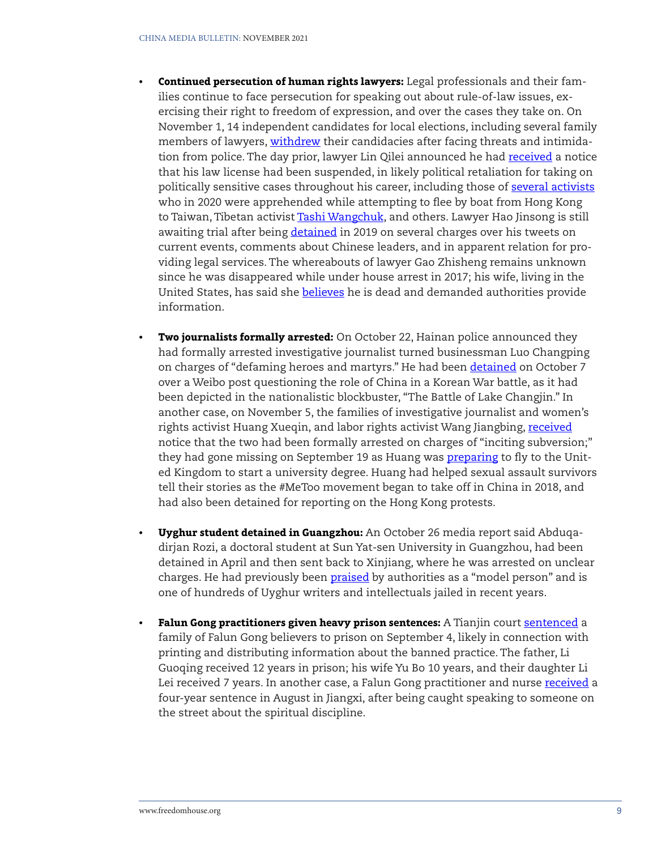- **• Continued persecution of human rights lawyers:** Legal professionals and their families continue to face persecution for speaking out about rule-of-law issues, exercising their right to freedom of expression, and over the cases they take on. On November 1, 14 independent candidates for local elections, including several family members of lawyers, [withdrew](https://chinadigitaltimes.net/2021/11/fearing-for-their-personal-safety-14-independent-candidates-drop-out-of-local-elections/) their candidacies after facing threats and intimidation from police. The day prior, lawyer Lin Qilei announced he had [received](https://twitter.com/lqllawyer/status/1454650865495670786) a notice that his law license had been suspended, in likely political retaliation for taking on politically sensitive cases throughout his career, including those of [several activists](https://www.scmp.com/news/hong-kong/politics/article/3154356/chinese-lawyer-who-tried-help-hong-kong-fugitive-arrested) who in 2020 were apprehended while attempting to flee by boat from Hong Kong to Taiwan, Tibetan activist [Tashi Wangchuk,](https://freetibet.org/news-media/na/china-bars-lawyer-jailed-tibetan-activist-visiting) and others. Lawyer Hao Jinsong is still awaiting trial after being [detained](https://chinachange.org/2021/11/01/chinas-best-known-public-interest-litigator-awaits-trial/) in 2019 on several charges over his tweets on current events, comments about Chinese leaders, and in apparent relation for providing legal services. The whereabouts of lawyer Gao Zhisheng remains unknown since he was disappeared while under house arrest in 2017; his wife, living in the United States, has said she [believe](https://www.rfa.org/english/news/china/gaozhisheng-wife-04202021151000.html)s he is dead and demanded authorities provide information.
- **• Two journalists formally arrested:** On October 22, Hainan police announced they had formally arrested investigative journalist turned businessman Luo Changping on charges of "defaming heroes and martyrs." He had been [detained](https://chinadigitaltimes.net/2021/10/former-journalist-luo-changping-detained-for-defaming-heroes-and-martyrs/) on October 7 over a Weibo post questioning the role of China in a Korean War battle, as it had been depicted in the nationalistic blockbuster, "The Battle of Lake Changjin." In another case, on November 5, the families of investigative journalist and women's rights activist Huang Xueqin, and labor rights activist Wang Jiangbing, [received](https://wqw2010.blogspot.com/2021/11/blog-post_41.html) notice that the two had been formally arrested on charges of "inciting subversion;" they had gone missing on September 19 as Huang was **[preparing](https://www.nchrd.org/2021/09/china-immediately-release-metoo-activist-and-fellow-civil-society-advocate/)** to fly to the United Kingdom to start a university degree. Huang had helped sexual assault survivors tell their stories as the #MeToo movement began to take off in China in 2018, and had also been detained for reporting on the Hong Kong protests.
- **• Uyghur student detained in Guangzhou:** An October 26 media report said Abduqadirjan Rozi, a doctoral student at Sun Yat-sen University in Guangzhou, had been detained in April and then sent back to Xinjiang, where he was arrested on unclear charges. He had previously been **praised** by authorities as a "model person" and is one of hundreds of Uyghur writers and intellectuals jailed in recent years.
- **Falun Gong practitioners given heavy prison sentences:** A Tianjin court [sentenced](https://wqw2010.blogspot.com/2021/10/12107.html) a family of Falun Gong believers to prison on September 4, likely in connection with printing and distributing information about the banned practice. The father, Li Guoqing received 12 years in prison; his wife Yu Bo 10 years, and their daughter Li Lei [received](https://bitterwinter.org/falun-gong-nurse-gets-four-years-for-inappropriate-remarks/) 7 years. In another case, a Falun Gong practitioner and nurse received a four-year sentence in August in Jiangxi, after being caught speaking to someone on the street about the spiritual discipline.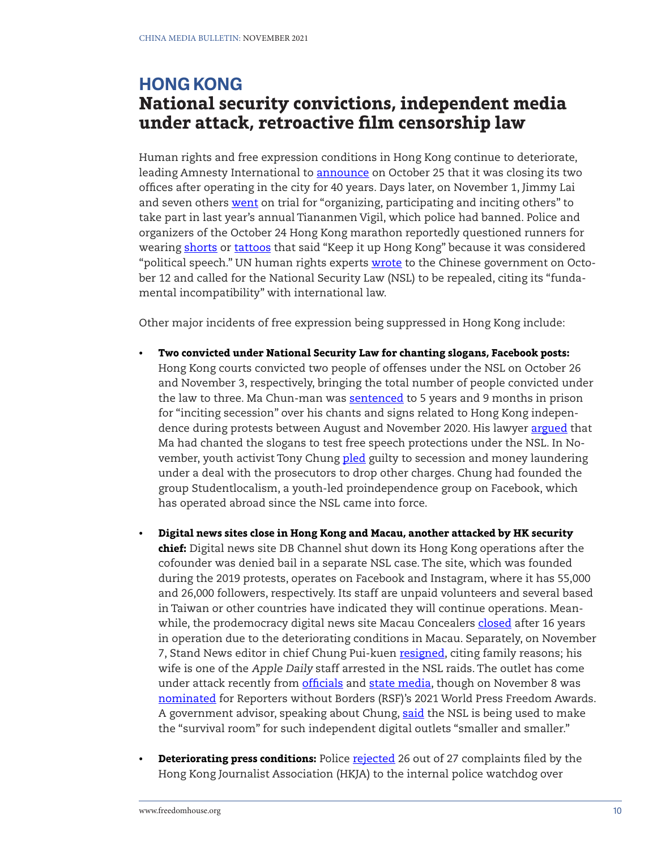## **HONG KONG National security convictions, independent media under attack, retroactive film censorship law**

Human rights and free expression conditions in Hong Kong continue to deteriorate, leading Amnesty International to [announce](https://www.amnesty.org/en/latest/news/2021/10/amnesty-international-to-close-its-hong-kong-offices/) on October 25 that it was closing its two offices after operating in the city for 40 years. Days later, on November 1, Jimmy Lai and seven others [went](https://www.theguardian.com/world/2021/nov/01/hong-kong-jimmy-lai-goes-on-trial-over-tiananmen-vigil) on trial for "organizing, participating and inciting others" to take part in last year's annual Tiananmen Vigil, which police had banned. Police and organizers of the October 24 Hong Kong marathon reportedly questioned runners for wearing [shorts](https://www.hkcnews.com/article/46822/%E9%A6%99%E6%B8%AF%E5%8A%A0%E6%B2%B9-%E6%B8%A3%E9%A6%AC-%E8%81%B6%E5%BE%B7%E6%AC%8A-46822/%E8%A1%AB%E8%A4%B2%E6%9C%89%E3%80%8C%E9%A6%99%E6%B8%AF%E5%8A%A0%E6%B2%B9%E3%80%8D%E6%88%90%E7%A6%81%E8%B3%BD%E7%90%86%E7%94%B1-%E8%B7%91%E6%89%8B%E8%A6%81%E6%8F%9B%E8%A1%AB%E8%A4%B2%E6%89%8D%E8%83%BD%E4%B8%8A%E9%99%A3-%E6%B8%A3%E9%A6%AC%EF%BC%9A%E9%AB%94%E8%82%B2%E4%B8%8D%E6%B6%89%E6%94%BF%E6%B2%BB%E5%9B%A0%E7%B4%A0%EF%BC%8C%E7%84%A1%E8%A3%9C%E5%85%85) or [tattoos](https://twitter.com/ktse852/status/1452116161395523584?s=20) that said "Keep it up Hong Kong" because it was considered "political speech." UN human rights experts [wrote](https://www.ohchr.org/EN/NewsEvents/Pages/DisplayNews.aspx?NewsID=27648&LangID=E) to the Chinese government on October 12 and called for the National Security Law (NSL) to be repealed, citing its "fundamental incompatibility" with international law.

Other major incidents of free expression being suppressed in Hong Kong include:

- **• Two convicted under National Security Law for chanting slogans, Facebook posts:** Hong Kong courts convicted two people of offenses under the NSL on October 26 and November 3, respectively, bringing the total number of people convicted under the law to three. Ma Chun-man was [sentenced](https://hongkongfp.com/2021/11/11/breaking-hong-kong-man-jailed-for-5-years-9-months-for-inciting-secession-in-citys-2nd-security-law-sentencing/) to 5 years and 9 months in prison for "inciting secession" over his chants and signs related to Hong Kong independence during protests between August and November 2020. His lawyer [argued](https://www.thestandnews.com/english/slogan-chanter-wanted-to-test-free-speech-protections-under-hong-kong-security-law-court-told) that Ma had chanted the slogans to test free speech protections under the NSL. In November, youth activist Tony Chung [pled](https://hongkongfp.com/2021/11/03/i-have-no-shame-in-my-heart-hong-kong-activist-tony-chung-pleads-guilty-to-secession-and-money-laundering/) guilty to secession and money laundering under a deal with the prosecutors to drop other charges. Chung had founded the group Studentlocalism, a youth-led proindependence group on Facebook, which has operated abroad since the NSL came into force.
- **• Digital news sites close in Hong Kong and Macau, another attacked by HK security chief:** Digital news site DB Channel shut down its Hong Kong operations after the cofounder was denied bail in a separate NSL case. The site, which was founded during the 2019 protests, operates on Facebook and Instagram, where it has 55,000 and 26,000 followers, respectively. Its staff are unpaid volunteers and several based in Taiwan or other countries have indicated they will continue operations. Meanwhile, the prodemocracy digital news site Macau Concealers [closed](https://hongkongfp.com/2021/10/20/news-outlet-macau-concealers-closes-and-deletes-content-blames-unprecedented-environmental-changes/) after 16 years in operation due to the deteriorating conditions in Macau. Separately, on November 7, Stand News editor in chief Chung Pui-kuen [resigned](https://www.thestandard.com.hk/breaking-news/section/4/182572/Stand-News-chief-resigns,-citing-family-reasons), citing family reasons; his wife is one of the Apple Daily staff arrested in the NSL raids. The outlet has come under attack recently from [officials](https://www.scmp.com/news/hong-kong/politics/article/3152518/hong-kong-security-chief-accuses-media-outlet-demonising) and [state media,](http://www.takungpao.com/news/232109/2021/0508/582812.html) though on November 8 was [nominated](https://rsf.org/en/news/rsf-unveils-nominees-2021-press-freedom-awards) for Reporters without Borders (RSF)'s 2021 World Press Freedom Awards. A government advisor, speaking about Chung, [said](https://www.globaltimes.cn/page/202111/1238333.shtml) the NSL is being used to make the "survival room" for such independent digital outlets "smaller and smaller."
- **• Deteriorating press conditions:** Police [rejected](https://hongkongfp.com/2021/10/20/police-reject-26-out-of-27-complaints-submitted-by-hong-kong-press-group-as-not-pursuable/) 26 out of 27 complaints filed by the Hong Kong Journalist Association (HKJA) to the internal police watchdog over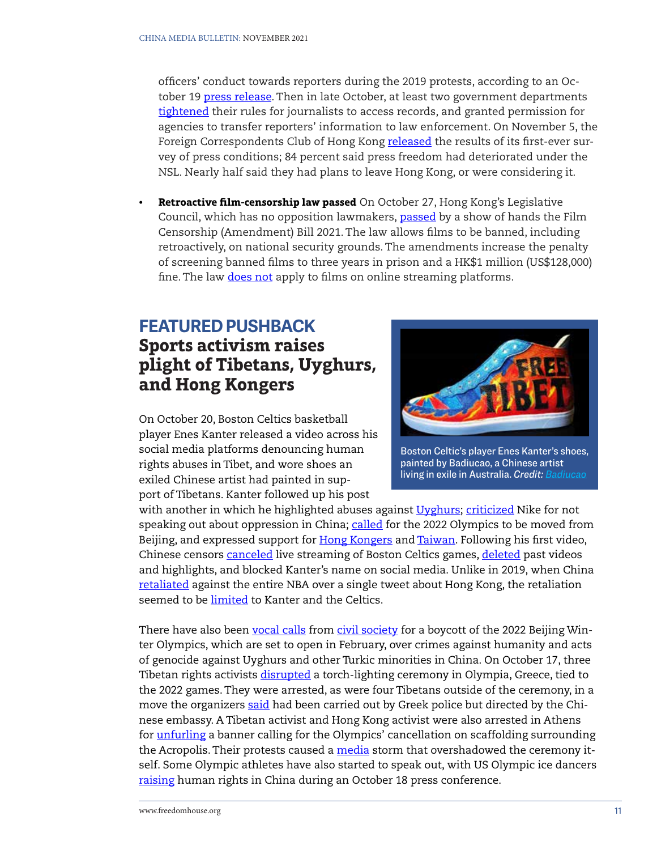officers' conduct towards reporters during the 2019 protests, according to an October 19 [press release](https://www.hkja.org.hk/zh/%E6%96%B0%E8%81%9E%E7%A8%BF/%E9%A6%99%E6%B8%AF%E8%A8%98%E8%80%85%E5%8D%94%E6%9C%83%E5%B0%8D%E6%8A%95%E8%A8%B4%E8%AD%A6%E5%AF%9F%E8%AA%B2%E8%A6%86%E5%87%BD%E4%B9%8B%E5%9B%9E%E6%87%89/). Then in late October, at least two government departments [tightened](https://hongkongfp.com/2021/10/26/hong-kongs-new-rules-on-accessing-govt-records-put-journalists-at-unnecessary-risk-press-group-says/) their rules for journalists to access records, and granted permission for agencies to transfer reporters' information to law enforcement. On November 5, the Foreign Correspondents Club of Hong Kong [released](https://www.fcchk.org/membership-survey-on-press-freedom/) the results of its first-ever survey of press conditions; 84 percent said press freedom had deteriorated under the NSL. Nearly half said they had plans to leave Hong Kong, or were considering it.

**• Retroactive film-censorship law passed** On October 27, Hong Kong's Legislative Council, which has no opposition lawmakers, [passed](https://www.scmp.com/news/hong-kong/politics/article/3153857/hong-kong-passes-bill-ban-films-deemed-threats-national) by a show of hands the Film Censorship (Amendment) Bill 2021. The law allows films to be banned, including retroactively, on national security grounds. The amendments increase the penalty of screening banned films to three years in prison and a HK\$1 million (US\$128,000) fine. The law [does not](https://hongkongfp.com/2021/10/27/hong-kong-passes-bill-to-censor-films-contrary-to-chinas-national-security-hk1m-fine-3-years-jail-for-offenders/) apply to films on online streaming platforms.

# **FEATURED PUSHBACK Sports activism raises plight of Tibetans, Uyghurs, and Hong Kongers**

On October 20, Boston Celtics basketball player Enes Kanter released a video across his social media platforms denouncing human rights abuses in Tibet, and wore shoes an exiled Chinese artist had painted in support of Tibetans. Kanter followed up his post



Boston Celtic's player Enes Kanter's shoes, painted by Badiucao, a Chinese artist living in exile in Australia. *Credit: [Badiucao](https://twitter.com/badiucao/status/1450978025990930434)*

with another in which he highlighted abuses against [Uyghurs](https://twitter.com/EnesKanter/status/1451581224087134209); [criticized](https://twitter.com/EnesKanter/status/1452712106843910148) Nike for not speaking out about oppression in China; [called](https://twitter.com/EnesKanter/status/1454479571412193281) for the 2022 Olympics to be moved from Beijing, and expressed support for [Hong Kongers](https://twitter.com/EnesKanter/status/1455549818798026756) and [Taiwan](https://twitter.com/EnesKanter/status/1458466864334528514). Following his first video, Chinese censors [canceled](https://www.nytimes.com/2021/10/21/sports/basketball/celtics-kanter-china-tibet.html) live streaming of Boston Celtics games, [deleted](https://www.dw.com/en/china-censors-nba-celtics-games-over-tibet-xi-comments/a-59583695) past videos and highlights, and blocked Kanter's name on social media. Unlike in 2019, when China [retaliated](https://www.economist.com/business/2021/11/06/american-basketballs-tricky-relations-with-china) against the entire NBA over a single tweet about Hong Kong, the retaliation seemed to be [limited](https://twitter.com/ThisIsWenhao/status/1451031957643612160) to Kanter and the Celtics.

There have also been [vocal calls](https://twitter.com/norightsnogames) from [civil society](https://www.reuters.com/article/china-olympics-rights-int/over-160-rights-groups-call-on-ioc-chief-to-revoke-2022-beijing-winter-games-idUSKBN2600MU) for a boycott of the 2022 Beijing Winter Olympics, which are set to open in February, over crimes against humanity and acts of genocide against Uyghurs and other Turkic minorities in China. On October 17, three Tibetan rights activists [disrupted](https://www.politico.eu/article/activists-arrested-in-athens-for-protesting-beijing-winter-olympics-2022/) a torch-lighting ceremony in Olympia, Greece, tied to the 2022 games. They were arrested, as were four Tibetans outside of the ceremony, in a move the organizers [said](https://studentsforafreetibet.org/breaking-tibet-activists-arrested-after-disrupting-olympic-torch-lighting-ceremony-others-detained-outside-at-direction-of-chinese-government-officials/) had been carried out by Greek police but directed by the Chinese embassy. A Tibetan activist and Hong Kong activist were also arrested in Athens for [unfurling](https://studentsforafreetibet.org/breaking-tibet-and-hong-kong-activists-detained-at-acropolis-calling-for-no-beijing-2022/) a banner calling for the Olympics' cancellation on scaffolding surrounding the Acropolis. Their protests caused a [media](https://www.scmp.com/news/china/diplomacy/article/3152750/beijing-olympics-two-arrested-greece-protest-eve-torch) storm that overshadowed the ceremony itself. Some Olympic athletes have also started to speak out, with US Olympic ice dancers [raising](https://olympics.nbcsports.com/2021/10/19/figure-skater-evan-bates-olympics-uyghur-muslims-china-human-rights/) human rights in China during an October 18 press conference.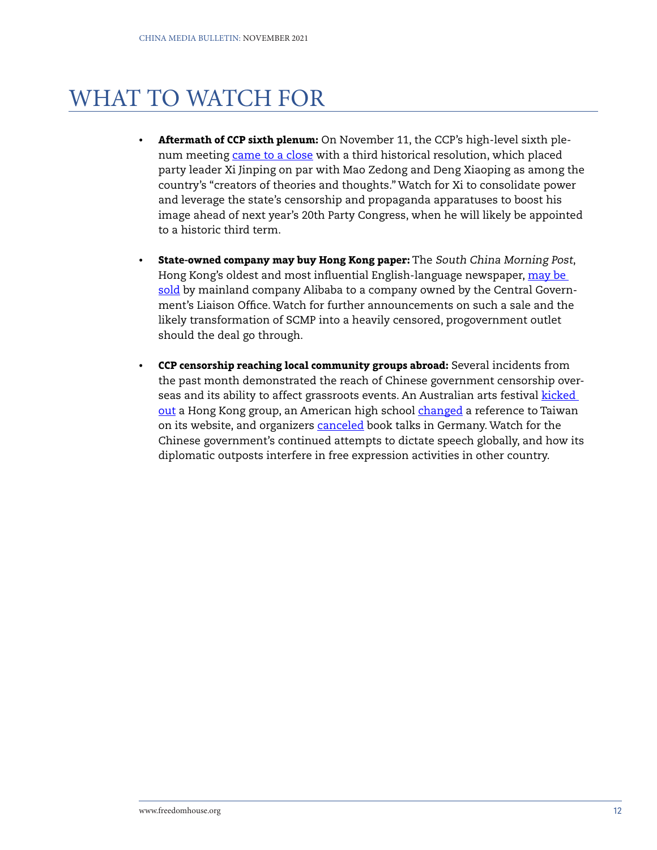# WHAT TO WATCH FOR

- **• Aftermath of CCP sixth plenum:** On November 11, the CCP's high-level sixth plenum meeting [came to a close](https://www.scmp.com/news/china/politics/article/3155753/chinese-communist-party-resolution-cements-xi-jinpings) with a third historical resolution, which placed party leader Xi Jinping on par with Mao Zedong and Deng Xiaoping as among the country's "creators of theories and thoughts." Watch for Xi to consolidate power and leverage the state's censorship and propaganda apparatuses to boost his image ahead of next year's 20th Party Congress, when he will likely be appointed to a historic third term.
- **• State-owned company may buy Hong Kong paper:** The South China Morning Post, Hong Kong's oldest and most influential English-language newspaper, [may be](https://www.bloomberg.com/news/articles/2021-11-05/chinese-state-firm-weighs-bid-to-take-over-scmp-from-alibaba)  [sold](https://www.bloomberg.com/news/articles/2021-11-05/chinese-state-firm-weighs-bid-to-take-over-scmp-from-alibaba) by mainland company Alibaba to a company owned by the Central Government's Liaison Office. Watch for further announcements on such a sale and the likely transformation of SCMP into a heavily censored, progovernment outlet should the deal go through.
- **• CCP censorship reaching local community groups abroad:** Several incidents from the past month demonstrated the reach of Chinese government censorship overseas and its ability to affect grassroots events. An Australian arts festival **kicked** [out](https://www.smh.com.au/world/asia/the-long-tentacles-of-hong-kong-s-national-security-laws-reach-australia-20211027-p593hc.html) a Hong Kong group, an American high school [changed](https://www.wsj.com/articles/china-makes-sure-everyone-writes-taiwans-name-just-soeven-a-colorado-high-school-11631304386) a reference to Taiwan on its website, and organizers [canceled](https://www.dw.com/en/germany-how-does-it-deal-with-chinese-censorship/a-59653971) book talks in Germany. Watch for the Chinese government's continued attempts to dictate speech globally, and how its diplomatic outposts interfere in free expression activities in other country.